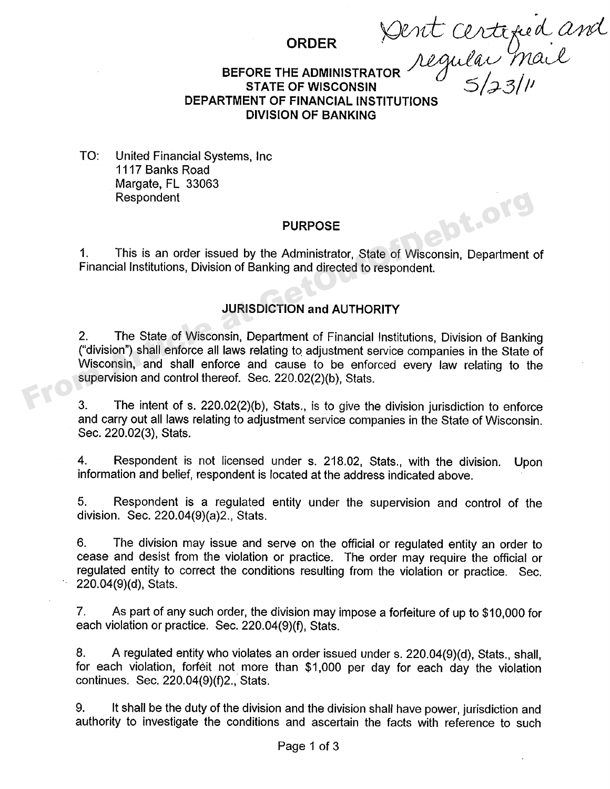order Dent C ilai Mail

#### **BEFORE THE ADMINISTRATOR STATE OF WISCONSIN**  $5/33/1$ **DEPARTMENT OF FINANCIAL INSTITUTIONS DIVISION OF BANKING**

TO: United Financial Systems, Inc. 1117 Banks Road Margate, FL 33063 Respondent

#### **PURPOSE**

PURPOSE<br>This is an order issued by the Administrator, State of Wisconsin, Department of Financial Institutions, Division of Banking and directed to respondent.

# **JURISDICTION and AUTHORITY**

2. The State of Wisconsin, Department of Financial Institutions, Division of Banking ("division") shall enforce all laws relating to adjustment servicecompanies in the State of Wisconsin, and shall enforce and cause to be enforced every law relating to the supervision and control thereof. Sec, 220.02(2)(b), Stats. From Article at Getty Purchast at Article at Getty Purchast at Article at Article at Article at Article at Article at Article at Article at Article at Article at Article at Article at Article at Article at Getter<br>
2. The S

3. The intent of s. 220.02(2)(b), Stats., is to give the division jurisdiction to enforce and carry out all laws relating to adjustment service companies in the State of Wisconsin. Sec. 220.02(3), Stats.

4. Respondent is not licensed under s. 218.02, Stats., with the division. Upon information and belief, respondent is located at the address indicated above.

5. Respondent is a regulated entity under the supervision and control of the division. Sec. 220.04(9)(a)2., Stats.

6. The division may issue and serve on the official or regulated entity an order to cease and desist from the violation or practice. The order may require the official or regulated entity to correct the conditions resulting from the violation or practice. Sec. 220.04(9)(d), Stats.

7, As part of any such order, the division may impose a forfeiture of up to \$10,000 for each violation or practice. Sec. 220.04(9)(f), Stats.

8. A regulated entity who violates an order issued under s. 220.04(9)(d), Stats., shall, for each violation, forfeit not more than \$1,000 per day for each day the violation continues. Sec. 220.04(9)(f)2., Stats.

9. It shall be the duty of the division and the division shall have power, jurisdiction and authority to investigate the conditions and ascertain the facts with reference to such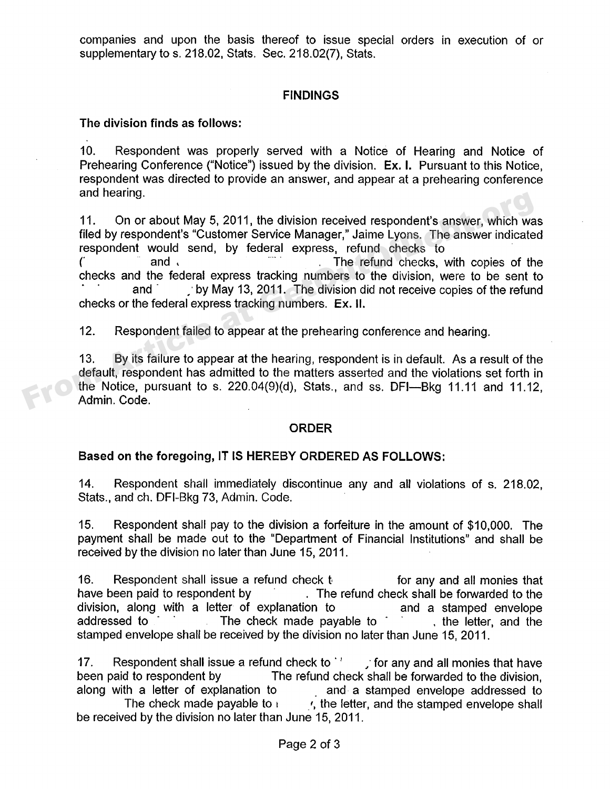companies and upon the basis thereof to issue special orders in execution of or supplementary to s. 218.02, Stats. Sec. 218.02(7), Stats,

## **FINDINGS**

### **The division finds as follows:**

10. Respondent was properly served with a Notice of Hearing and Notice of Prehearing Conference ("Notice") issued by the division. Ex. I. Pursuant to this Notice, respondent was directed to provide an answer, and appear at a prehearing conference and hearing.

11. On or about May 5, 2011, the division received respondent's answer, which was filed by respondent's "Customer Service Manager," Jaime Lyons. The answer indicated respondent would send, by federal express, refund checks to and, and  $\sim$  The refund checks, with copies of the checks and the federal express tracking numbers to the division, were to be sent to and by May 13, 2011. The division did not receive copies of the refund checks or the federal express tracking numbers. **Ex. ll.** 11. On or about May 5, 2011, the division received respondent's answer, which was filed by respondent's "Customer Service Manager," Jaime Lyons. The answer indicate respondent would send, by federal express, refund checks

12. Respondent failed to appear at the prehearing conference and hearing,

13. By its failure to appear at the hearing, respondent is in default. As a result of the default, respondent has admitted to the matters asserted and the violations set forth in the Notice, pursuant to s.  $220.04(9)(d)$ , Stats., and ss. DFI--Bkg 11.11 and 11.12, Admin. Code.

#### **ORDER**

### **Based on the foregoing, IT IS HEREBY ORDERED AS FOLLOWS:**

14. Respondent shall immediately discontinue any and all violations of s. 218.02, Stats., and ch. DFl-Bkg 73, Admin. Code.

15. Respondent shall pay to the division a forfeiture in the amount of \$10,000. The payment shall be made out to the "Department of Financial Institutions" and shall be received by the division no later than June 15, 2011.

16. Respondent shall issue a refund check  $t$  for any and all monies that have been paid to respondent by . The refund check shall be forwarded to the division, along with a letter of explanation to and a stamped envelope<br>addressed to and the check made pavable to a the letter and the a are the check made payable to . The letter, and the stamped envelope shall be received by the division no later than June 15, 2011.

17. Respondent shall issue a refund check to  $\cdot$   $\cdot$  for any and all monies that have been paid to respondent by The refund check shall be forwarded to the division, along with a letter of explanation to and a stamped envelope addressed to along with a letter of explanation to and a stamped envelope addressed to The check made payable to  $\mathbf{r} = \mathbf{r}$ , the letter, and the stamped envelope shall be received by the division no later than June 15, 2011.